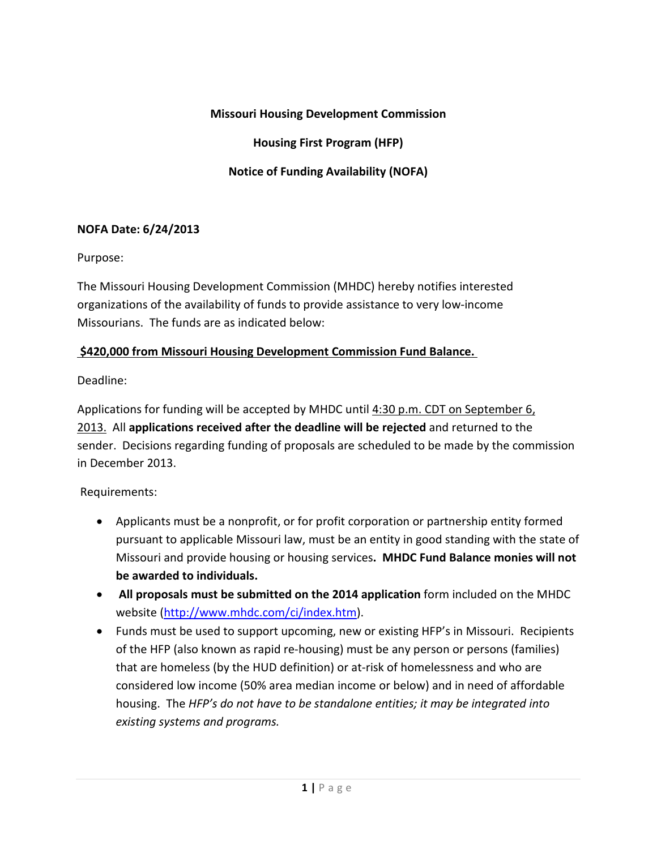# **Missouri Housing Development Commission**

**Housing First Program (HFP)**

### **Notice of Funding Availability (NOFA)**

#### **NOFA Date: 6/24/2013**

Purpose:

The Missouri Housing Development Commission (MHDC) hereby notifies interested organizations of the availability of funds to provide assistance to very low-income Missourians. The funds are as indicated below:

### **\$420,000 from Missouri Housing Development Commission Fund Balance.**

Deadline:

Applications for funding will be accepted by MHDC until 4:30 p.m. CDT on September 6, 2013. All **applications received after the deadline will be rejected** and returned to the sender. Decisions regarding funding of proposals are scheduled to be made by the commission in December 2013.

### Requirements:

- Applicants must be a nonprofit, or for profit corporation or partnership entity formed pursuant to applicable Missouri law, must be an entity in good standing with the state of Missouri and provide housing or housing services**. MHDC Fund Balance monies will not be awarded to individuals.**
- **All proposals must be submitted on the 2014 application** form included on the MHDC website [\(http://www.mhdc.com/ci/index.htm\)](http://www.mhdc.com/ci/index.htm).
- Funds must be used to support upcoming, new or existing HFP's in Missouri. Recipients of the HFP (also known as rapid re-housing) must be any person or persons (families) that are homeless (by the HUD definition) or at-risk of homelessness and who are considered low income (50% area median income or below) and in need of affordable housing. The *HFP's do not have to be standalone entities; it may be integrated into existing systems and programs.*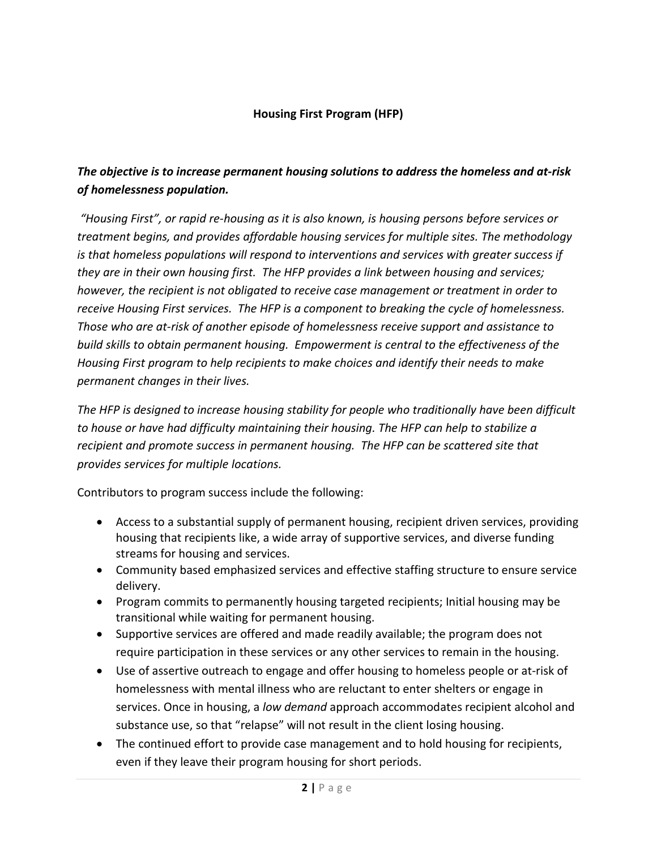# **Housing First Program (HFP)**

# *The objective is to increase permanent housing solutions to address the homeless and at-risk of homelessness population.*

*"Housing First", or rapid re-housing as it is also known, is housing persons before services or treatment begins, and provides affordable housing services for multiple sites. The methodology is that homeless populations will respond to interventions and services with greater success if they are in their own housing first. The HFP provides a link between housing and services; however, the recipient is not obligated to receive case management or treatment in order to receive Housing First services. The HFP is a component to breaking the cycle of homelessness. Those who are at-risk of another episode of homelessness receive support and assistance to build skills to obtain permanent housing. Empowerment is central to the effectiveness of the Housing First program to help recipients to make choices and identify their needs to make permanent changes in their lives.*

*The HFP is designed to increase housing stability for people who traditionally have been difficult to house or have had difficulty maintaining their housing. The HFP can help to stabilize a recipient and promote success in permanent housing. The HFP can be scattered site that provides services for multiple locations.*

Contributors to program success include the following:

- Access to a substantial supply of permanent housing, recipient driven services, providing housing that recipients like, a wide array of supportive services, and diverse funding streams for housing and services.
- Community based emphasized services and effective staffing structure to ensure service delivery.
- Program commits to permanently housing targeted recipients; Initial housing may be transitional while waiting for permanent housing.
- Supportive services are offered and made readily available; the program does not require participation in these services or any other services to remain in the housing.
- Use of assertive outreach to engage and offer housing to homeless people or at-risk of homelessness with mental illness who are reluctant to enter shelters or engage in services. Once in housing, a *low demand* approach accommodates recipient alcohol and substance use, so that "relapse" will not result in the client losing housing.
- The continued effort to provide case management and to hold housing for recipients, even if they leave their program housing for short periods.